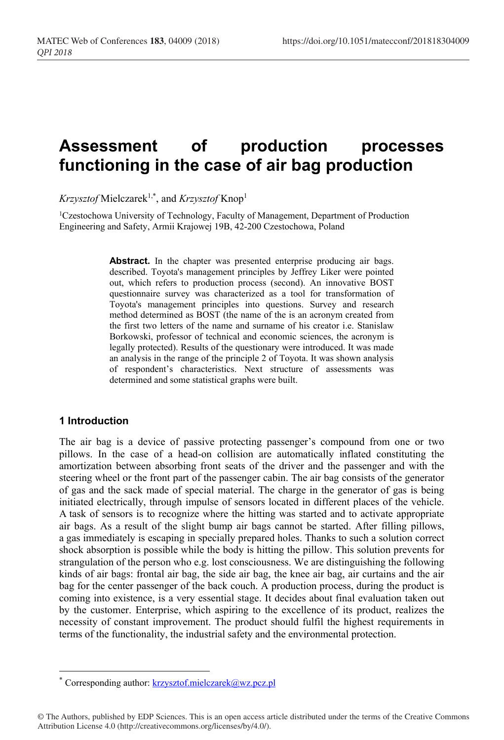# **Assessment of production processes functioning in the case of air bag production**

*Krzysztof* Mielczarek1,\*, and *Krzysztof* Knop1

<sup>1</sup>Czestochowa University of Technology, Faculty of Management, Department of Production Engineering and Safety, Armii Krajowej 19B, 42-200 Czestochowa, Poland

> Abstract. In the chapter was presented enterprise producing air bags. described. Toyota's management principles by Jeffrey Liker were pointed out, which refers to production process (second). An innovative BOST questionnaire survey was characterized as a tool for transformation of Toyota's management principles into questions. Survey and research method determined as BOST (the name of the is an acronym created from the first two letters of the name and surname of his creator i.e. Stanislaw Borkowski, professor of technical and economic sciences, the acronym is legally protected). Results of the questionary were introduced. It was made an analysis in the range of the principle 2 of Toyota. It was shown analysis of respondent's characteristics. Next structure of assessments was determined and some statistical graphs were built.

## **1 Introduction**

-

The air bag is a device of passive protecting passenger's compound from one or two pillows. In the case of a head-on collision are automatically inflated constituting the amortization between absorbing front seats of the driver and the passenger and with the steering wheel or the front part of the passenger cabin. The air bag consists of the generator of gas and the sack made of special material. The charge in the generator of gas is being initiated electrically, through impulse of sensors located in different places of the vehicle. A task of sensors is to recognize where the hitting was started and to activate appropriate air bags. As a result of the slight bump air bags cannot be started. After filling pillows, a gas immediately is escaping in specially prepared holes. Thanks to such a solution correct shock absorption is possible while the body is hitting the pillow. This solution prevents for strangulation of the person who e.g. lost consciousness. We are distinguishing the following kinds of air bags: frontal air bag, the side air bag, the knee air bag, air curtains and the air bag for the center passenger of the back couch. A production process, during the product is coming into existence, is a very essential stage. It decides about final evaluation taken out by the customer. Enterprise, which aspiring to the excellence of its product, realizes the necessity of constant improvement. The product should fulfil the highest requirements in terms of the functionality, the industrial safety and the environmental protection.

Corresponding author: krzysztof.mielczarek@wz.pcz.pl

<sup>©</sup> The Authors, published by EDP Sciences. This is an open access article distributed under the terms of the Creative Commons Attribution License 4.0 (http://creativecommons.org/licenses/by/4.0/).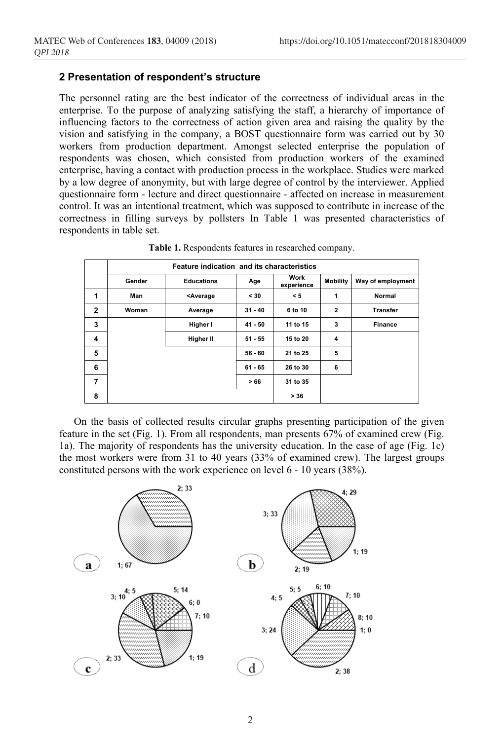## **2 Presentation of respondent's structure**

The personnel rating are the best indicator of the correctness of individual areas in the enterprise. To the purpose of analyzing satisfying the staff, a hierarchy of importance of influencing factors to the correctness of action given area and raising the quality by the vision and satisfying in the company, a BOST questionnaire form was carried out by 30 workers from production department. Amongst selected enterprise the population of respondents was chosen, which consisted from production workers of the examined enterprise, having a contact with production process in the workplace. Studies were marked by a low degree of anonymity, but with large degree of control by the interviewer. Applied questionnaire form - lecture and direct questionnaire - affected on increase in measurement control. It was an intentional treatment, which was supposed to contribute in increase of the correctness in filling surveys by pollsters In Table 1 was presented characteristics of respondents in table set.

|              | Feature indication and its characteristics |                                                                                                    |           |                    |                 |                   |  |  |  |  |
|--------------|--------------------------------------------|----------------------------------------------------------------------------------------------------|-----------|--------------------|-----------------|-------------------|--|--|--|--|
|              | Gender                                     | <b>Educations</b>                                                                                  | Age       | Work<br>experience | <b>Mobility</b> | Way of employment |  |  |  |  |
| 1            | Man                                        | <average< td=""><td><math>30</math></td><td>&lt; 5</td><td>1</td><td><b>Normal</b></td></average<> | $30$      | < 5                | 1               | <b>Normal</b>     |  |  |  |  |
| $\mathbf{2}$ | Woman                                      | Average                                                                                            | $31 - 40$ | 6 to 10            | $\overline{2}$  | <b>Transfer</b>   |  |  |  |  |
| 3            |                                            | Higher I                                                                                           | $41 - 50$ | 11 to 15           | 3               | <b>Finance</b>    |  |  |  |  |
| 4            |                                            | Higher II                                                                                          | $51 - 55$ | 15 to 20           | 4               |                   |  |  |  |  |
| 5            |                                            |                                                                                                    | $56 - 60$ | 21 to 25           | 5               |                   |  |  |  |  |
| 6            |                                            |                                                                                                    | $61 - 65$ | 26 to 30           | 6               |                   |  |  |  |  |
| 7            |                                            |                                                                                                    | >66       | 31 to 35           |                 |                   |  |  |  |  |
| 8            |                                            |                                                                                                    |           | > 36               |                 |                   |  |  |  |  |

**Table 1.** Respondents features in researched company.

On the basis of collected results circular graphs presenting participation of the given feature in the set (Fig. 1). From all respondents, man presents 67% of examined crew (Fig. 1a). The majority of respondents has the university education. In the case of age (Fig. 1c) the most workers were from 31 to 40 years (33% of examined crew). The largest groups constituted persons with the work experience on level 6 - 10 years (38%).

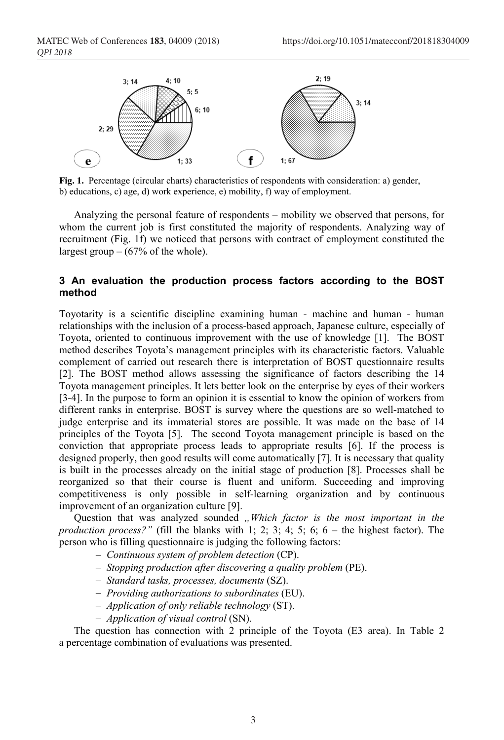

**Fig. 1.** Percentage (circular charts) characteristics of respondents with consideration: a) gender, b) educations, c) age, d) work experience, e) mobility, f) way of employment.

Analyzing the personal feature of respondents – mobility we observed that persons, for whom the current job is first constituted the majority of respondents. Analyzing way of recruitment (Fig. 1f) we noticed that persons with contract of employment constituted the largest group  $-$  (67% of the whole).

# **3 An evaluation the production process factors according to the BOST method**

Toyotarity is a scientific discipline examining human - machine and human - human relationships with the inclusion of a process-based approach, Japanese culture, especially of Toyota, oriented to continuous improvement with the use of knowledge [1]. The BOST method describes Toyota's management principles with its characteristic factors. Valuable complement of carried out research there is interpretation of BOST questionnaire results [2]. The BOST method allows assessing the significance of factors describing the 14 Toyota management principles. It lets better look on the enterprise by eyes of their workers [3-4]. In the purpose to form an opinion it is essential to know the opinion of workers from different ranks in enterprise. BOST is survey where the questions are so well-matched to judge enterprise and its immaterial stores are possible. It was made on the base of 14 principles of the Toyota [5]. The second Toyota management principle is based on the conviction that appropriate process leads to appropriate results [6]. If the process is designed properly, then good results will come automatically [7]. It is necessary that quality is built in the processes already on the initial stage of production [8]. Processes shall be reorganized so that their course is fluent and uniform. Succeeding and improving competitiveness is only possible in self-learning organization and by continuous improvement of an organization culture [9].

Question that was analyzed sounded *"Which factor is the most important in the production process?"* (fill the blanks with 1; 2; 3; 4; 5; 6; 6 – the highest factor). The person who is filling questionnaire is judging the following factors:

- *Continuous system of problem detection* (CP).
- *Stopping production after discovering a quality problem* (PE).
- *Standard tasks, processes, documents* (SZ).
- *Providing authorizations to subordinates* (EU).
- *Application of only reliable technology* (ST).
- *Application of visual control* (SN).

The question has connection with 2 principle of the Toyota (E3 area). In Table 2 a percentage combination of evaluations was presented.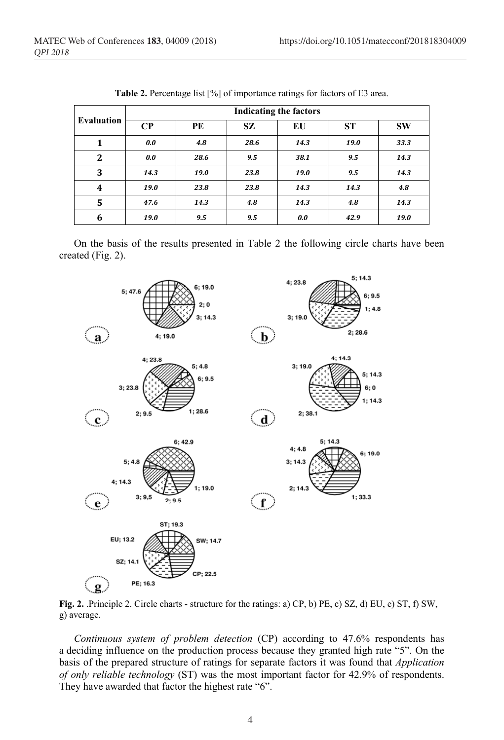|                   | <b>Indicating the factors</b> |      |           |      |           |           |  |  |  |
|-------------------|-------------------------------|------|-----------|------|-----------|-----------|--|--|--|
| <b>Evaluation</b> | $\bf CP$                      | PE   | <b>SZ</b> | EU   | <b>ST</b> | <b>SW</b> |  |  |  |
|                   | 0.0                           | 4.8  | 28.6      | 14.3 | 19.0      | 33.3      |  |  |  |
| $\overline{2}$    | 0.0                           | 28.6 | 9.5       | 38.1 | 9.5       | 14.3      |  |  |  |
| 3                 | 14.3                          | 19.0 | 23.8      | 19.0 | 9.5       | 14.3      |  |  |  |
| 4                 | 19.0                          | 23.8 | 23.8      | 14.3 | 14.3      | 4.8       |  |  |  |
| 5                 | 47.6                          | 14.3 | 4.8       | 14.3 | 4.8       | 14.3      |  |  |  |
| 6                 | 19.0                          | 9.5  | 9.5       | 0.0  | 42.9      | 19.0      |  |  |  |

**Table 2.** Percentage list [%] of importance ratings for factors of E3 area.

On the basis of the results presented in Table 2 the following circle charts have been created (Fig. 2).



**Fig. 2.** .Principle 2. Circle charts - structure for the ratings: a) CP, b) PE, c) SZ, d) EU, e) ST, f) SW, g) average.

*Continuous system of problem detection* (CP) according to 47.6% respondents has a deciding influence on the production process because they granted high rate "5". On the basis of the prepared structure of ratings for separate factors it was found that *Application of only reliable technology* (ST) was the most important factor for 42.9% of respondents. They have awarded that factor the highest rate "6".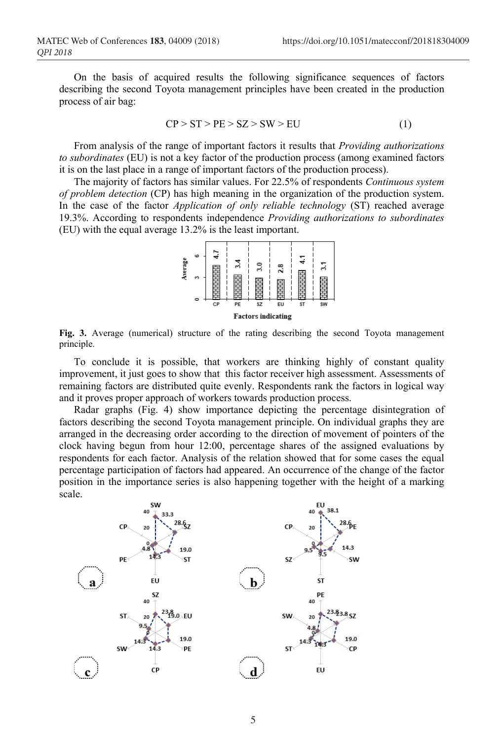On the basis of acquired results the following significance sequences of factors describing the second Toyota management principles have been created in the production process of air bag:

$$
CP > ST > PE > SZ > SW > EU
$$
 (1)

From analysis of the range of important factors it results that *Providing authorizations to subordinates* (EU) is not a key factor of the production process (among examined factors it is on the last place in a range of important factors of the production process).

The majority of factors has similar values. For 22.5% of respondents *Continuous system of problem detection* (CP) has high meaning in the organization of the production system. In the case of the factor *Application of only reliable technology* (ST) reached average 19.3%. According to respondents independence *Providing authorizations to subordinates* (EU) with the equal average 13.2% is the least important.



**Fig. 3.** Average (numerical) structure of the rating describing the second Toyota management principle.

To conclude it is possible, that workers are thinking highly of constant quality improvement, it just goes to show that this factor receiver high assessment. Assessments of remaining factors are distributed quite evenly. Respondents rank the factors in logical way and it proves proper approach of workers towards production process.

Radar graphs (Fig. 4) show importance depicting the percentage disintegration of factors describing the second Toyota management principle. On individual graphs they are arranged in the decreasing order according to the direction of movement of pointers of the clock having begun from hour 12:00, percentage shares of the assigned evaluations by respondents for each factor. Analysis of the relation showed that for some cases the equal percentage participation of factors had appeared. An occurrence of the change of the factor position in the importance series is also happening together with the height of a marking scale.